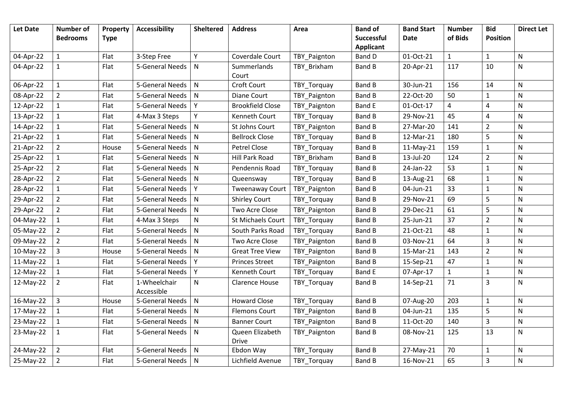| <b>Let Date</b> | <b>Number of</b> | Property    | <b>Accessibility</b>       | <b>Sheltered</b> | <b>Address</b>          | Area         | <b>Band of</b>   | <b>Band Start</b> | <b>Number</b> | <b>Bid</b>                | <b>Direct Let</b> |
|-----------------|------------------|-------------|----------------------------|------------------|-------------------------|--------------|------------------|-------------------|---------------|---------------------------|-------------------|
|                 | <b>Bedrooms</b>  | <b>Type</b> |                            |                  |                         |              | Successful       | <b>Date</b>       | of Bids       | <b>Position</b>           |                   |
|                 |                  |             |                            |                  |                         |              | <b>Applicant</b> |                   |               |                           |                   |
| 04-Apr-22       | $1\,$            | Flat        | 3-Step Free                | Y                | Coverdale Court         | TBY_Paignton | <b>Band D</b>    | 01-Oct-21         | $\mathbf{1}$  | $\mathbf{1}$              | $\mathsf{N}$      |
| 04-Apr-22       | $\mathbf{1}$     | Flat        | 5-General Needs            | $\mathsf{N}$     | Summerlands             | TBY_Brixham  | <b>Band B</b>    | 20-Apr-21         | 117           | 10                        | ${\sf N}$         |
|                 |                  |             |                            |                  | Court                   |              |                  |                   |               |                           |                   |
| 06-Apr-22       | $\mathbf{1}$     | Flat        | 5-General Needs            | $\mathsf{N}$     | Croft Court             | TBY_Torquay  | <b>Band B</b>    | 30-Jun-21         | 156           | 14                        | $\mathsf{N}$      |
| 08-Apr-22       | $\overline{2}$   | Flat        | 5-General Needs            | $\mathsf{N}$     | Diane Court             | TBY Paignton | <b>Band B</b>    | 22-Oct-20         | 50            | $\mathbf 1$               | ${\sf N}$         |
| 12-Apr-22       | $\mathbf{1}$     | Flat        | 5-General Needs            | Y                | <b>Brookfield Close</b> | TBY_Paignton | <b>Band E</b>    | 01-Oct-17         | 4             | 4                         | ${\sf N}$         |
| 13-Apr-22       | 1                | Flat        | 4-Max 3 Steps              | Υ                | Kenneth Court           | TBY_Torquay  | <b>Band B</b>    | 29-Nov-21         | 45            | 4                         | $\mathsf{N}$      |
| 14-Apr-22       | $\mathbf{1}$     | Flat        | 5-General Needs            | $\mathsf{N}$     | St Johns Court          | TBY_Paignton | <b>Band B</b>    | 27-Mar-20         | 141           | $\overline{2}$            | N                 |
| 21-Apr-22       | $\mathbf{1}$     | Flat        | 5-General Needs            | $\mathsf{N}$     | <b>Bellrock Close</b>   | TBY_Torquay  | <b>Band B</b>    | 12-Mar-21         | 180           | 5                         | $\mathsf{N}$      |
| 21-Apr-22       | $\overline{2}$   | House       | 5-General Needs            | N                | Petrel Close            | TBY_Torquay  | Band B           | 11-May-21         | 159           | $\mathbf 1$               | $\mathsf{N}$      |
| 25-Apr-22       | $\mathbf{1}$     | Flat        | 5-General Needs            | $\mathsf{N}$     | Hill Park Road          | TBY_Brixham  | <b>Band B</b>    | 13-Jul-20         | 124           | $\overline{2}$            | ${\sf N}$         |
| 25-Apr-22       | $\overline{2}$   | Flat        | 5-General Needs            | $\mathsf{N}$     | Pendennis Road          | TBY_Torquay  | <b>Band B</b>    | 24-Jan-22         | 53            | $\mathbf 1$               | ${\sf N}$         |
| 28-Apr-22       | $\overline{2}$   | Flat        | 5-General Needs            | $\mathsf{N}$     | Queensway               | TBY_Torquay  | <b>Band B</b>    | 13-Aug-21         | 68            | $\mathbf 1$               | ${\sf N}$         |
| 28-Apr-22       | $\mathbf{1}$     | Flat        | 5-General Needs            | Y                | <b>Tweenaway Court</b>  | TBY_Paignton | <b>Band B</b>    | 04-Jun-21         | 33            | $\mathbf 1$               | ${\sf N}$         |
| 29-Apr-22       | $\overline{2}$   | Flat        | 5-General Needs            | $\mathsf{N}$     | <b>Shirley Court</b>    | TBY_Torquay  | <b>Band B</b>    | 29-Nov-21         | 69            | 5                         | ${\sf N}$         |
| 29-Apr-22       | $\overline{2}$   | Flat        | 5-General Needs            | $\mathsf{N}$     | Two Acre Close          | TBY_Paignton | <b>Band B</b>    | 29-Dec-21         | 61            | 5                         | ${\sf N}$         |
| 04-May-22       | $\mathbf{1}$     | Flat        | 4-Max 3 Steps              | ${\sf N}$        | St Michaels Court       | TBY_Torquay  | <b>Band B</b>    | 25-Jun-21         | 37            | $\overline{2}$            | ${\sf N}$         |
| 05-May-22       | $\overline{2}$   | Flat        | 5-General Needs            | N                | South Parks Road        | TBY_Torquay  | <b>Band B</b>    | 21-Oct-21         | 48            | $\mathbf 1$               | $\mathsf{N}$      |
| 09-May-22       | $\overline{2}$   | Flat        | 5-General Needs            | $\mathsf{N}$     | Two Acre Close          | TBY_Paignton | <b>Band B</b>    | 03-Nov-21         | 64            | 3                         | ${\sf N}$         |
| 10-May-22       | $\overline{3}$   | House       | 5-General Needs            | $\mathsf{N}$     | <b>Great Tree View</b>  | TBY Paignton | <b>Band B</b>    | 15-Mar-21         | 143           | $\overline{2}$            | $\mathsf{N}$      |
| 11-May-22       | $\mathbf{1}$     | Flat        | 5-General Needs            | Y                | <b>Princes Street</b>   | TBY_Paignton | Band B           | 15-Sep-21         | 47            | $\mathbf 1$               | ${\sf N}$         |
| 12-May-22       | 1                | Flat        | 5-General Needs            | Y                | Kenneth Court           | TBY_Torquay  | <b>Band E</b>    | 07-Apr-17         | $\mathbf{1}$  | $\mathbf 1$               | ${\sf N}$         |
| 12-May-22       | $\overline{2}$   | Flat        | 1-Wheelchair<br>Accessible | $\mathsf{N}$     | <b>Clarence House</b>   | TBY_Torquay  | Band B           | 14-Sep-21         | 71            | 3                         | $\mathsf{N}$      |
| 16-May-22       | $\overline{3}$   | House       | 5-General Needs            | $\mathsf{N}$     | <b>Howard Close</b>     | TBY_Torquay  | <b>Band B</b>    | 07-Aug-20         | 203           | $\mathbf 1$               | $\mathsf{N}$      |
| 17-May-22       | $\mathbf{1}$     | Flat        | 5-General Needs            | N                | <b>Flemons Court</b>    | TBY_Paignton | <b>Band B</b>    | 04-Jun-21         | 135           | 5                         | $\mathsf{N}$      |
| 23-May-22       | $\mathbf{1}$     | Flat        | 5-General Needs            | $\mathsf{N}$     | <b>Banner Court</b>     | TBY_Paignton | Band B           | 11-Oct-20         | 140           | $\ensuremath{\mathsf{3}}$ | ${\sf N}$         |
| 23-May-22       | $\mathbf{1}$     | Flat        | 5-General Needs            | $\mathsf{N}$     | Queen Elizabeth         | TBY_Paignton | Band B           | 08-Nov-21         | 125           | 13                        | ${\sf N}$         |
|                 |                  |             |                            |                  | <b>Drive</b>            |              |                  |                   |               |                           |                   |
| 24-May-22       | $\overline{2}$   | Flat        | 5-General Needs            | $\mathsf{N}$     | Ebdon Way               | TBY_Torquay  | <b>Band B</b>    | 27-May-21         | 70            | $\mathbf{1}$              | ${\sf N}$         |
| 25-May-22       | $\overline{2}$   | Flat        | 5-General Needs            | $\mathsf{N}$     | Lichfield Avenue        | TBY_Torquay  | <b>Band B</b>    | 16-Nov-21         | 65            | $\mathsf 3$               | ${\sf N}$         |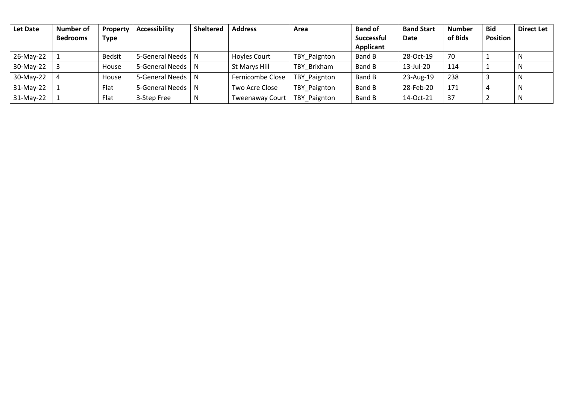| Let Date    | <b>Number of</b> | Property      | <b>Accessibility</b> | <b>Sheltered</b> | <b>Address</b>         | Area         | <b>Band of</b>    | <b>Band Start</b> | <b>Number</b> | <b>Bid</b>      | <b>Direct Let</b> |
|-------------|------------------|---------------|----------------------|------------------|------------------------|--------------|-------------------|-------------------|---------------|-----------------|-------------------|
|             | <b>Bedrooms</b>  | <b>Type</b>   |                      |                  |                        |              | <b>Successful</b> | Date              | of Bids       | <b>Position</b> |                   |
|             |                  |               |                      |                  |                        |              | Applicant         |                   |               |                 |                   |
| 26-May-22   |                  | <b>Bedsit</b> | 5-General Needs   N  |                  | Hoyles Court           | TBY_Paignton | Band B            | 28-Oct-19         | 70            |                 | N                 |
| 30-May-22   |                  | House         | 5-General Needs   N  |                  | St Marys Hill          | TBY Brixham  | <b>Band B</b>     | 13-Jul-20         | 114           |                 | N                 |
| 30-May-22   |                  | House         | 5-General Needs   N  |                  | Fernicombe Close       | TBY Paignton | Band B            | 23-Aug-19         | 238           |                 | N                 |
| 31-May-22   |                  | Flat          | 5-General Needs      | - N              | Two Acre Close         | TBY Paignton | Band B            | 28-Feb-20         | 171           |                 | N                 |
| $31-May-22$ |                  | Flat          | 3-Step Free          | N                | <b>Tweenaway Court</b> | TBY Paignton | <b>Band B</b>     | 14-Oct-21         | 37            |                 | N                 |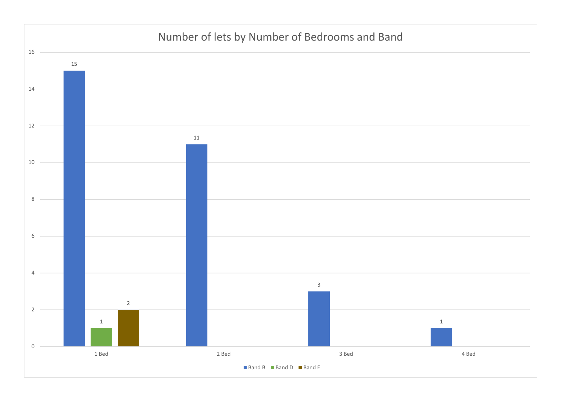